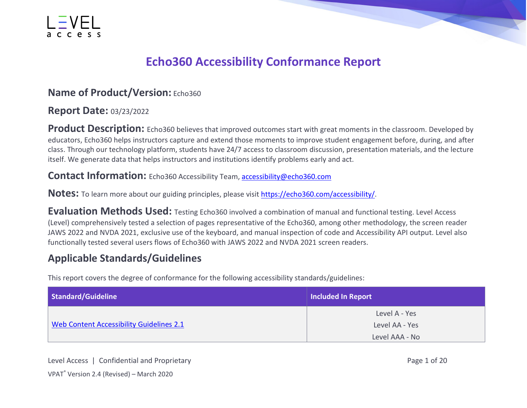

#### **Echo360 Accessibility Conformance Report**

#### **Name of Product/Version: Echo360**

#### **Report Date:** 03/23/2022

**Product Description:** Echo360 believes that improved outcomes start with great moments in the classroom. Developed by educators, Echo360 helps instructors capture and extend those moments to improve student engagement before, during, and after class. Through our technology platform, students have 24/7 access to classroom discussion, presentation materials, and the lecture itself. We generate data that helps instructors and institutions identify problems early and act.

**Contact Information:** Echo360 Accessibility Team, [accessibility@echo360.com](mailto:accessibility@echo360.com)

Notes: To learn more about our guiding principles, please visit [https://echo360.com/accessibility/.](https://echo360.com/accessibility/)

**Evaluation Methods Used:** Testing Echo360 involved a combination of manual and functional testing. Level Access (Level) comprehensively tested a selection of pages representative of the Echo360, among other methodology, the screen reader JAWS 2022 and NVDA 2021, exclusive use of the keyboard, and manual inspection of code and Accessibility API output. Level also functionally tested several users flows of Echo360 with JAWS 2022 and NVDA 2021 screen readers.

#### **Applicable Standards/Guidelines**

This report covers the degree of conformance for the following accessibility standards/guidelines:

| Standard/Guideline                       | <b>Included In Report</b>       |
|------------------------------------------|---------------------------------|
| Web Content Accessibility Guidelines 2.1 | Level A - Yes<br>Level AA - Yes |
|                                          | Level AAA - No                  |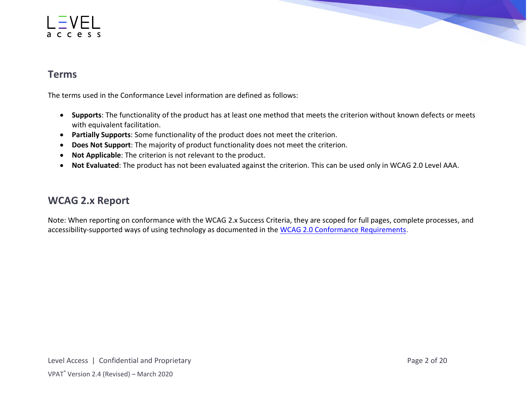#### access



#### **Terms**

The terms used in the Conformance Level information are defined as follows:

- **Supports**: The functionality of the product has at least one method that meets the criterion without known defects or meets with equivalent facilitation.
- **Partially Supports**: Some functionality of the product does not meet the criterion.
- **Does Not Support**: The majority of product functionality does not meet the criterion.
- **Not Applicable**: The criterion is not relevant to the product.
- **Not Evaluated**: The product has not been evaluated against the criterion. This can be used only in WCAG 2.0 Level AAA.

#### **WCAG 2.x Report**

Note: When reporting on conformance with the WCAG 2.x Success Criteria, they are scoped for full pages, complete processes, and accessibility-supported ways of using technology as documented in the [WCAG 2.0 Conformance Requirements.](https://www.w3.org/TR/WCAG20/#conformance-reqs)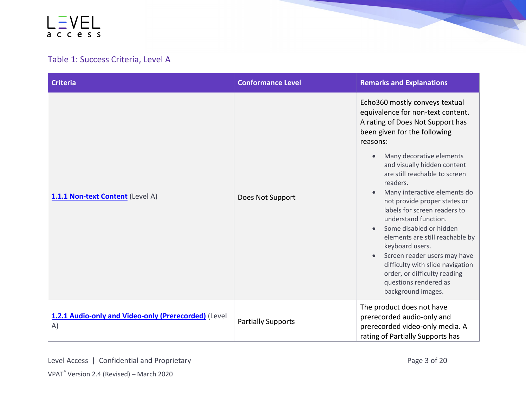#### Table 1: Success Criteria, Level A

| <b>Criteria</b>                                            | <b>Conformance Level</b>  | <b>Remarks and Explanations</b>                                                                                                                                                                                                                                                                                                                                                                                                                                                                                                                                                                                                                                             |
|------------------------------------------------------------|---------------------------|-----------------------------------------------------------------------------------------------------------------------------------------------------------------------------------------------------------------------------------------------------------------------------------------------------------------------------------------------------------------------------------------------------------------------------------------------------------------------------------------------------------------------------------------------------------------------------------------------------------------------------------------------------------------------------|
| 1.1.1 Non-text Content (Level A)                           | Does Not Support          | Echo360 mostly conveys textual<br>equivalence for non-text content.<br>A rating of Does Not Support has<br>been given for the following<br>reasons:<br>Many decorative elements<br>$\bullet$<br>and visually hidden content<br>are still reachable to screen<br>readers.<br>Many interactive elements do<br>$\bullet$<br>not provide proper states or<br>labels for screen readers to<br>understand function.<br>Some disabled or hidden<br>$\bullet$<br>elements are still reachable by<br>keyboard users.<br>Screen reader users may have<br>$\bullet$<br>difficulty with slide navigation<br>order, or difficulty reading<br>questions rendered as<br>background images. |
| 1.2.1 Audio-only and Video-only (Prerecorded) (Level<br>A) | <b>Partially Supports</b> | The product does not have<br>prerecorded audio-only and<br>prerecorded video-only media. A<br>rating of Partially Supports has                                                                                                                                                                                                                                                                                                                                                                                                                                                                                                                                              |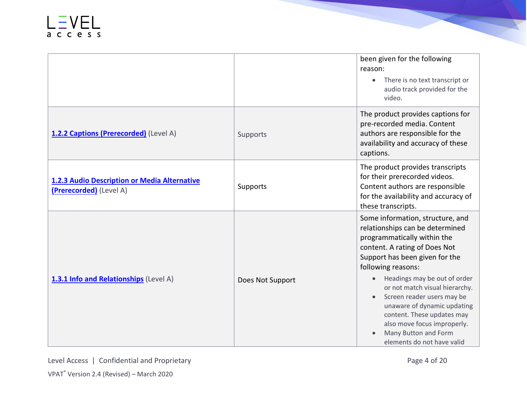|                                                                         |                  | been given for the following<br>reason:<br>There is no text transcript or<br>$\bullet$<br>audio track provided for the<br>video.                                                                                                                                                                                                                                                                                                                           |
|-------------------------------------------------------------------------|------------------|------------------------------------------------------------------------------------------------------------------------------------------------------------------------------------------------------------------------------------------------------------------------------------------------------------------------------------------------------------------------------------------------------------------------------------------------------------|
| 1.2.2 Captions (Prerecorded) (Level A)                                  | Supports         | The product provides captions for<br>pre-recorded media. Content<br>authors are responsible for the<br>availability and accuracy of these<br>captions.                                                                                                                                                                                                                                                                                                     |
| 1.2.3 Audio Description or Media Alternative<br>(Prerecorded) (Level A) | Supports         | The product provides transcripts<br>for their prerecorded videos.<br>Content authors are responsible<br>for the availability and accuracy of<br>these transcripts.                                                                                                                                                                                                                                                                                         |
| 1.3.1 Info and Relationships (Level A)                                  | Does Not Support | Some information, structure, and<br>relationships can be determined<br>programmatically within the<br>content. A rating of Does Not<br>Support has been given for the<br>following reasons:<br>Headings may be out of order<br>$\bullet$<br>or not match visual hierarchy.<br>Screen reader users may be<br>unaware of dynamic updating<br>content. These updates may<br>also move focus improperly.<br>Many Button and Form<br>elements do not have valid |

Level Access | Confidential and Proprietary Page 4 of 20 VPAT® Version 2.4 (Revised) – March 2020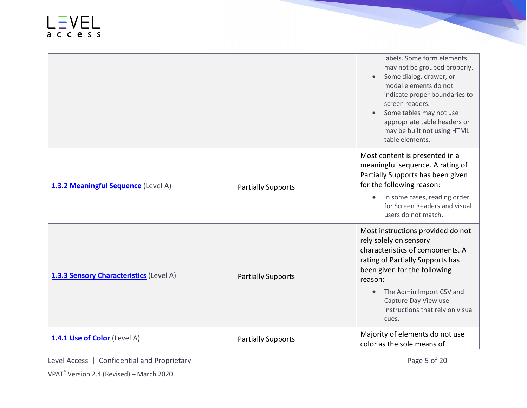|                                         |                           | labels. Some form elements<br>may not be grouped properly.<br>Some dialog, drawer, or<br>modal elements do not<br>indicate proper boundaries to<br>screen readers.<br>Some tables may not use<br>appropriate table headers or<br>may be built not using HTML<br>table elements.              |
|-----------------------------------------|---------------------------|----------------------------------------------------------------------------------------------------------------------------------------------------------------------------------------------------------------------------------------------------------------------------------------------|
| 1.3.2 Meaningful Sequence (Level A)     | <b>Partially Supports</b> | Most content is presented in a<br>meaningful sequence. A rating of<br>Partially Supports has been given<br>for the following reason:<br>In some cases, reading order<br>for Screen Readers and visual<br>users do not match.                                                                 |
| 1.3.3 Sensory Characteristics (Level A) | <b>Partially Supports</b> | Most instructions provided do not<br>rely solely on sensory<br>characteristics of components. A<br>rating of Partially Supports has<br>been given for the following<br>reason:<br>The Admin Import CSV and<br>$\bullet$<br>Capture Day View use<br>instructions that rely on visual<br>cues. |
| 1.4.1 Use of Color (Level A)            | <b>Partially Supports</b> | Majority of elements do not use<br>color as the sole means of                                                                                                                                                                                                                                |

Level Access | Confidential and Proprietary Page 5 of 20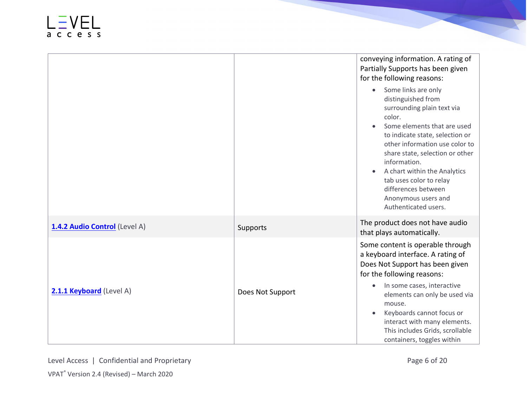|                               |                  | conveying information. A rating of<br>Partially Supports has been given<br>for the following reasons:                                                                                                                                                                                                                                                                                  |
|-------------------------------|------------------|----------------------------------------------------------------------------------------------------------------------------------------------------------------------------------------------------------------------------------------------------------------------------------------------------------------------------------------------------------------------------------------|
|                               |                  | Some links are only<br>$\bullet$<br>distinguished from<br>surrounding plain text via<br>color.<br>Some elements that are used<br>to indicate state, selection or<br>other information use color to<br>share state, selection or other<br>information.<br>A chart within the Analytics<br>tab uses color to relay<br>differences between<br>Anonymous users and<br>Authenticated users. |
| 1.4.2 Audio Control (Level A) | Supports         | The product does not have audio<br>that plays automatically.                                                                                                                                                                                                                                                                                                                           |
| 2.1.1 Keyboard (Level A)      | Does Not Support | Some content is operable through<br>a keyboard interface. A rating of<br>Does Not Support has been given<br>for the following reasons:<br>In some cases, interactive<br>$\bullet$<br>elements can only be used via<br>mouse.<br>Keyboards cannot focus or                                                                                                                              |
|                               |                  | interact with many elements.<br>This includes Grids, scrollable<br>containers, toggles within                                                                                                                                                                                                                                                                                          |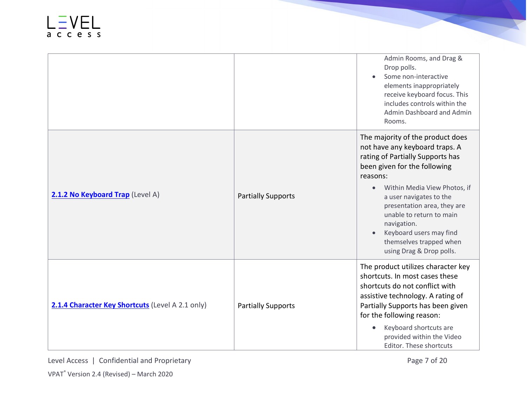|                                                  |                           | Admin Rooms, and Drag &<br>Drop polls.<br>Some non-interactive<br>elements inappropriately<br>receive keyboard focus. This<br>includes controls within the<br>Admin Dashboard and Admin<br>Rooms.                                                                                                                                                                                      |
|--------------------------------------------------|---------------------------|----------------------------------------------------------------------------------------------------------------------------------------------------------------------------------------------------------------------------------------------------------------------------------------------------------------------------------------------------------------------------------------|
| 2.1.2 No Keyboard Trap (Level A)                 | <b>Partially Supports</b> | The majority of the product does<br>not have any keyboard traps. A<br>rating of Partially Supports has<br>been given for the following<br>reasons:<br>Within Media View Photos, if<br>$\bullet$<br>a user navigates to the<br>presentation area, they are<br>unable to return to main<br>navigation.<br>Keyboard users may find<br>themselves trapped when<br>using Drag & Drop polls. |
| 2.1.4 Character Key Shortcuts (Level A 2.1 only) | <b>Partially Supports</b> | The product utilizes character key<br>shortcuts. In most cases these<br>shortcuts do not conflict with<br>assistive technology. A rating of<br>Partially Supports has been given<br>for the following reason:<br>Keyboard shortcuts are<br>provided within the Video<br>Editor. These shortcuts                                                                                        |

Level Access | Confidential and Proprietary Page 7 of 20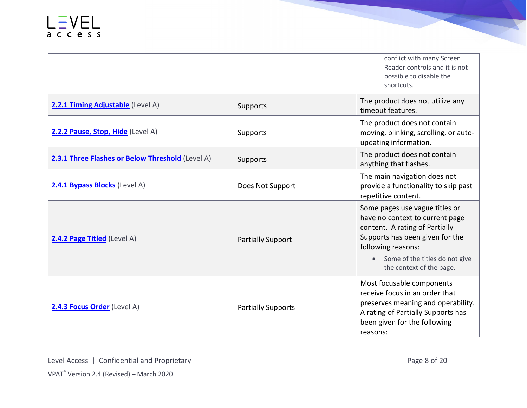|                                                  |                           | conflict with many Screen<br>Reader controls and it is not<br>possible to disable the<br>shortcuts.                                                                                                                        |
|--------------------------------------------------|---------------------------|----------------------------------------------------------------------------------------------------------------------------------------------------------------------------------------------------------------------------|
| 2.2.1 Timing Adjustable (Level A)                | Supports                  | The product does not utilize any<br>timeout features.                                                                                                                                                                      |
| 2.2.2 Pause, Stop, Hide (Level A)                | Supports                  | The product does not contain<br>moving, blinking, scrolling, or auto-<br>updating information.                                                                                                                             |
| 2.3.1 Three Flashes or Below Threshold (Level A) | Supports                  | The product does not contain<br>anything that flashes.                                                                                                                                                                     |
| 2.4.1 Bypass Blocks (Level A)                    | Does Not Support          | The main navigation does not<br>provide a functionality to skip past<br>repetitive content.                                                                                                                                |
| 2.4.2 Page Titled (Level A)                      | <b>Partially Support</b>  | Some pages use vague titles or<br>have no context to current page<br>content. A rating of Partially<br>Supports has been given for the<br>following reasons:<br>Some of the titles do not give<br>the context of the page. |
| 2.4.3 Focus Order (Level A)                      | <b>Partially Supports</b> | Most focusable components<br>receive focus in an order that<br>preserves meaning and operability.<br>A rating of Partially Supports has<br>been given for the following<br>reasons:                                        |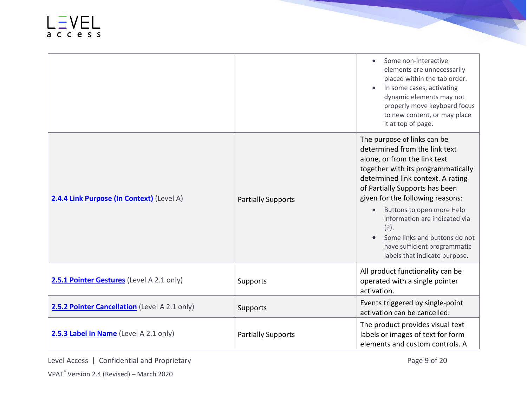|                                               |                           | Some non-interactive<br>elements are unnecessarily<br>placed within the tab order.<br>In some cases, activating<br>dynamic elements may not<br>properly move keyboard focus<br>to new content, or may place<br>it at top of page.                                                                                                                                                                                                     |
|-----------------------------------------------|---------------------------|---------------------------------------------------------------------------------------------------------------------------------------------------------------------------------------------------------------------------------------------------------------------------------------------------------------------------------------------------------------------------------------------------------------------------------------|
| 2.4.4 Link Purpose (In Context) (Level A)     | <b>Partially Supports</b> | The purpose of links can be<br>determined from the link text<br>alone, or from the link text<br>together with its programmatically<br>determined link context. A rating<br>of Partially Supports has been<br>given for the following reasons:<br>Buttons to open more Help<br>$\bullet$<br>information are indicated via<br>$(?)$ .<br>Some links and buttons do not<br>have sufficient programmatic<br>labels that indicate purpose. |
| 2.5.1 Pointer Gestures (Level A 2.1 only)     | Supports                  | All product functionality can be<br>operated with a single pointer<br>activation.                                                                                                                                                                                                                                                                                                                                                     |
| 2.5.2 Pointer Cancellation (Level A 2.1 only) | Supports                  | Events triggered by single-point<br>activation can be cancelled.                                                                                                                                                                                                                                                                                                                                                                      |
| 2.5.3 Label in Name (Level A 2.1 only)        | <b>Partially Supports</b> | The product provides visual text<br>labels or images of text for form<br>elements and custom controls. A                                                                                                                                                                                                                                                                                                                              |

Level Access | Confidential and Proprietary Page 9 of 20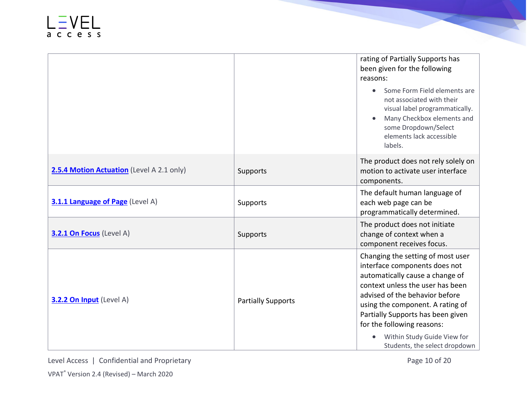|                                           |                           | rating of Partially Supports has<br>been given for the following<br>reasons:<br>Some Form Field elements are<br>$\bullet$<br>not associated with their<br>visual label programmatically.<br>Many Checkbox elements and<br>some Dropdown/Select<br>elements lack accessible<br>labels.                                                                           |
|-------------------------------------------|---------------------------|-----------------------------------------------------------------------------------------------------------------------------------------------------------------------------------------------------------------------------------------------------------------------------------------------------------------------------------------------------------------|
| 2.5.4 Motion Actuation (Level A 2.1 only) | Supports                  | The product does not rely solely on<br>motion to activate user interface<br>components.                                                                                                                                                                                                                                                                         |
| 3.1.1 Language of Page (Level A)          | Supports                  | The default human language of<br>each web page can be<br>programmatically determined.                                                                                                                                                                                                                                                                           |
| 3.2.1 On Focus (Level A)                  | Supports                  | The product does not initiate<br>change of context when a<br>component receives focus.                                                                                                                                                                                                                                                                          |
| 3.2.2 On Input (Level A)                  | <b>Partially Supports</b> | Changing the setting of most user<br>interface components does not<br>automatically cause a change of<br>context unless the user has been<br>advised of the behavior before<br>using the component. A rating of<br>Partially Supports has been given<br>for the following reasons:<br>Within Study Guide View for<br>$\bullet$<br>Students, the select dropdown |

Level Access | Confidential and Proprietary **Page 10 of 20**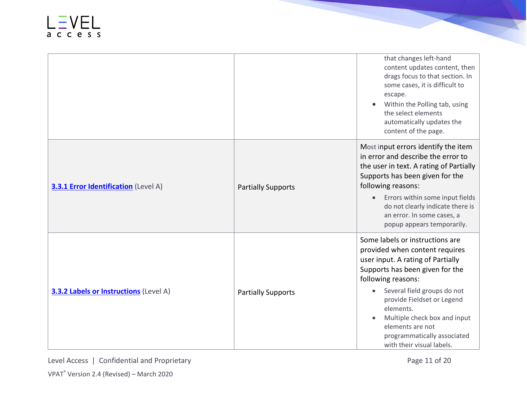|                                               |                           | that changes left-hand<br>content updates content, then<br>drags focus to that section. In<br>some cases, it is difficult to<br>escape.<br>Within the Polling tab, using<br>the select elements<br>automatically updates the<br>content of the page.                                                                                                      |
|-----------------------------------------------|---------------------------|-----------------------------------------------------------------------------------------------------------------------------------------------------------------------------------------------------------------------------------------------------------------------------------------------------------------------------------------------------------|
| <b>3.3.1 Error Identification</b> (Level A)   | <b>Partially Supports</b> | Most input errors identify the item<br>in error and describe the error to<br>the user in text. A rating of Partially<br>Supports has been given for the<br>following reasons:<br>Errors within some input fields<br>$\bullet$<br>do not clearly indicate there is<br>an error. In some cases, a<br>popup appears temporarily.                             |
| <b>3.3.2 Labels or Instructions</b> (Level A) | <b>Partially Supports</b> | Some labels or instructions are<br>provided when content requires<br>user input. A rating of Partially<br>Supports has been given for the<br>following reasons:<br>Several field groups do not<br>provide Fieldset or Legend<br>elements.<br>Multiple check box and input<br>elements are not<br>programmatically associated<br>with their visual labels. |

Level Access | Confidential and Proprietary **Page 11 of 20** 

VPAT® Version 2.4 (Revised) – March 2020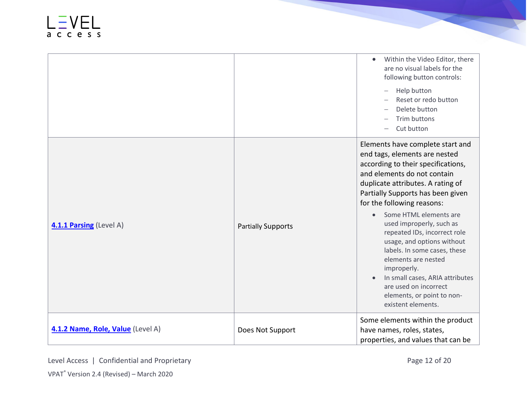|                                   |                           | Within the Video Editor, there<br>$\bullet$<br>are no visual labels for the<br>following button controls:<br>Help button<br>Reset or redo button<br>Delete button<br>Trim buttons<br>Cut button                                                                                                                   |
|-----------------------------------|---------------------------|-------------------------------------------------------------------------------------------------------------------------------------------------------------------------------------------------------------------------------------------------------------------------------------------------------------------|
| 4.1.1 Parsing (Level A)           | <b>Partially Supports</b> | Elements have complete start and<br>end tags, elements are nested<br>according to their specifications,<br>and elements do not contain<br>duplicate attributes. A rating of<br>Partially Supports has been given<br>for the following reasons:<br>Some HTML elements are<br>$\bullet$<br>used improperly, such as |
|                                   |                           | repeated IDs, incorrect role<br>usage, and options without<br>labels. In some cases, these<br>elements are nested<br>improperly.<br>In small cases, ARIA attributes<br>are used on incorrect<br>elements, or point to non-<br>existent elements.                                                                  |
| 4.1.2 Name, Role, Value (Level A) | Does Not Support          | Some elements within the product<br>have names, roles, states,<br>properties, and values that can be                                                                                                                                                                                                              |

Level Access | Confidential and Proprietary **Page 12 of 20** VPAT® Version 2.4 (Revised) – March 2020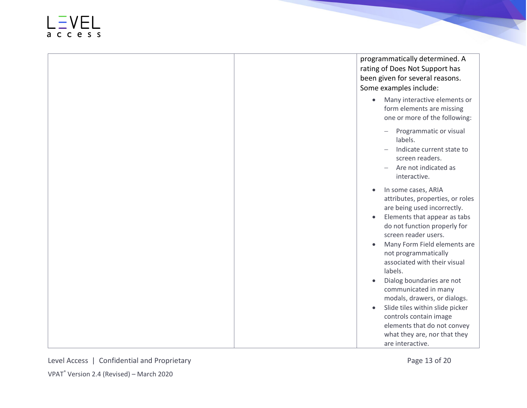#### access

programmatically determined. A rating of Does Not Support has been given for several reasons. Some examples include :

- Many interactive elements or form elements are missing one or more of the following:
	- − Programmatic or visual labels .
	- − Indicate current state to screen readers .
	- − Are not indicated as interactive.
- In some cases, ARIA attributes, properties, or roles are being used incorrectly.
- Elements that appear as tabs do not function properly for screen reader users.
- Many Form Field elements are not programmatically associated with their visual labels.
- Dialog boundaries are not communicated in many modals, drawers, or dialogs.
- Slide tiles within slide picker controls contain image elements that do not convey what they are, nor that they are interactive.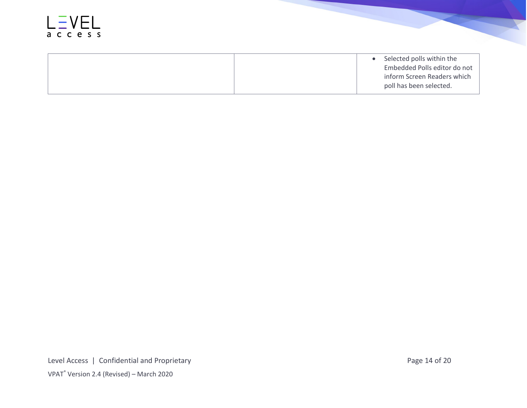

• Selected polls within the Embedded Polls editor do not inform Screen Readers which poll has been selected.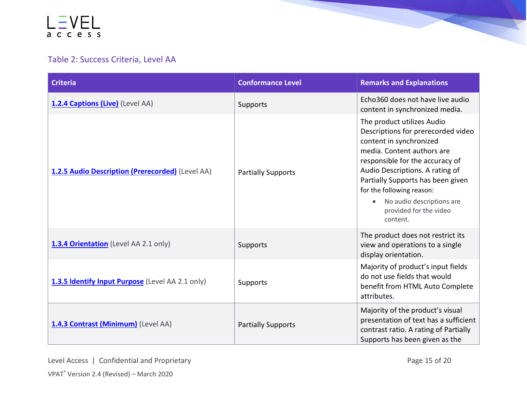#### Table 2: Success Criteria, Level AA

| <b>Criteria</b>                                  | <b>Conformance Level</b>  | <b>Remarks and Explanations</b>                                                                                                                                                                                                                                                                                                                   |
|--------------------------------------------------|---------------------------|---------------------------------------------------------------------------------------------------------------------------------------------------------------------------------------------------------------------------------------------------------------------------------------------------------------------------------------------------|
| 1.2.4 Captions (Live) (Level AA)                 | Supports                  | Echo360 does not have live audio<br>content in synchronized media.                                                                                                                                                                                                                                                                                |
| 1.2.5 Audio Description (Prerecorded) (Level AA) | <b>Partially Supports</b> | The product utilizes Audio<br>Descriptions for prerecorded video<br>content in synchronized<br>media. Content authors are<br>responsible for the accuracy of<br>Audio Descriptions. A rating of<br>Partially Supports has been given<br>for the following reason:<br>No audio descriptions are<br>$\bullet$<br>provided for the video<br>content. |
| 1.3.4 Orientation (Level AA 2.1 only)            | Supports                  | The product does not restrict its<br>view and operations to a single<br>display orientation.                                                                                                                                                                                                                                                      |
| 1.3.5 Identify Input Purpose (Level AA 2.1 only) | Supports                  | Majority of product's input fields<br>do not use fields that would<br>benefit from HTML Auto Complete<br>attributes.                                                                                                                                                                                                                              |
| 1.4.3 Contrast (Minimum) (Level AA)              | <b>Partially Supports</b> | Majority of the product's visual<br>presentation of text has a sufficient<br>contrast ratio. A rating of Partially<br>Supports has been given as the                                                                                                                                                                                              |

**CONTENT**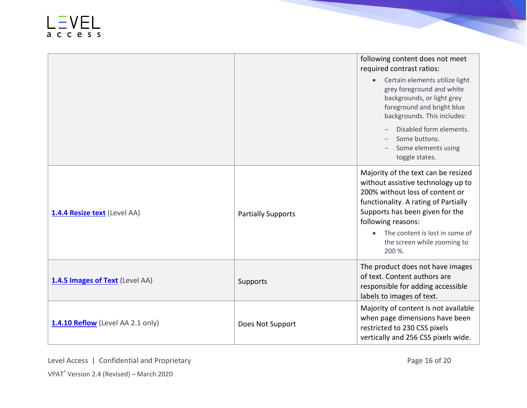|                                   |                           | following content does not meet<br>required contrast ratios:                                                                                                                                                                                                                             |
|-----------------------------------|---------------------------|------------------------------------------------------------------------------------------------------------------------------------------------------------------------------------------------------------------------------------------------------------------------------------------|
|                                   |                           | Certain elements utilize light<br>$\bullet$<br>grey foreground and white<br>backgrounds, or light grey<br>foreground and bright blue<br>backgrounds. This includes:                                                                                                                      |
|                                   |                           | Disabled form elements.<br>Some buttons.<br>Some elements using<br>toggle states.                                                                                                                                                                                                        |
| 1.4.4 Resize text (Level AA)      | <b>Partially Supports</b> | Majority of the text can be resized<br>without assistive technology up to<br>200% without loss of content or<br>functionality. A rating of Partially<br>Supports has been given for the<br>following reasons:<br>The content is lost in some of<br>the screen while zooming to<br>200 %. |
| 1.4.5 Images of Text (Level AA)   | Supports                  | The product does not have images<br>of text. Content authors are<br>responsible for adding accessible<br>labels to images of text.                                                                                                                                                       |
| 1.4.10 Reflow (Level AA 2.1 only) | Does Not Support          | Majority of content is not available<br>when page dimensions have been<br>restricted to 230 CSS pixels<br>vertically and 256 CSS pixels wide.                                                                                                                                            |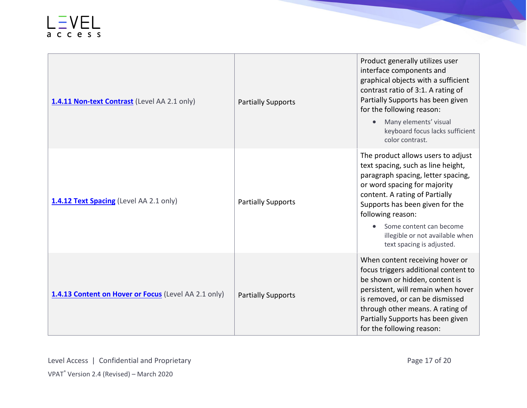| 1.4.11 Non-text Contrast (Level AA 2.1 only)         | <b>Partially Supports</b> | Product generally utilizes user<br>interface components and<br>graphical objects with a sufficient<br>contrast ratio of 3:1. A rating of<br>Partially Supports has been given<br>for the following reason:<br>Many elements' visual<br>$\bullet$<br>keyboard focus lacks sufficient<br>color contrast.                              |
|------------------------------------------------------|---------------------------|-------------------------------------------------------------------------------------------------------------------------------------------------------------------------------------------------------------------------------------------------------------------------------------------------------------------------------------|
| 1.4.12 Text Spacing (Level AA 2.1 only)              | <b>Partially Supports</b> | The product allows users to adjust<br>text spacing, such as line height,<br>paragraph spacing, letter spacing,<br>or word spacing for majority<br>content. A rating of Partially<br>Supports has been given for the<br>following reason:<br>Some content can become<br>illegible or not available when<br>text spacing is adjusted. |
| 1.4.13 Content on Hover or Focus (Level AA 2.1 only) | <b>Partially Supports</b> | When content receiving hover or<br>focus triggers additional content to<br>be shown or hidden, content is<br>persistent, will remain when hover<br>is removed, or can be dismissed<br>through other means. A rating of<br>Partially Supports has been given<br>for the following reason:                                            |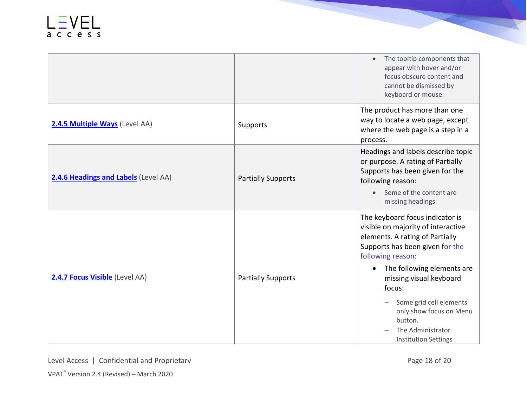|                                      |                           | The tooltip components that<br>$\bullet$<br>appear with hover and/or<br>focus obscure content and<br>cannot be dismissed by<br>keyboard or mouse.                                                                                                                                                                                                                     |
|--------------------------------------|---------------------------|-----------------------------------------------------------------------------------------------------------------------------------------------------------------------------------------------------------------------------------------------------------------------------------------------------------------------------------------------------------------------|
| 2.4.5 Multiple Ways (Level AA)       | Supports                  | The product has more than one<br>way to locate a web page, except<br>where the web page is a step in a<br>process.                                                                                                                                                                                                                                                    |
| 2.4.6 Headings and Labels (Level AA) | <b>Partially Supports</b> | Headings and labels describe topic<br>or purpose. A rating of Partially<br>Supports has been given for the<br>following reason:<br>Some of the content are<br>missing headings.                                                                                                                                                                                       |
| 2.4.7 Focus Visible (Level AA)       | <b>Partially Supports</b> | The keyboard focus indicator is<br>visible on majority of interactive<br>elements. A rating of Partially<br>Supports has been given for the<br>following reason:<br>The following elements are<br>$\bullet$<br>missing visual keyboard<br>focus:<br>Some grid cell elements<br>only show focus on Menu<br>button.<br>The Administrator<br><b>Institution Settings</b> |

**CONTRACTOR**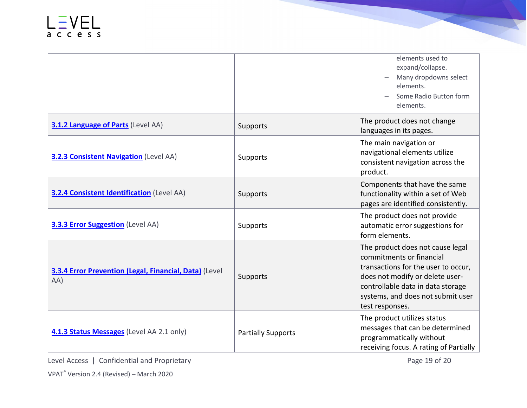|                                                               |                           | elements used to<br>expand/collapse.<br>Many dropdowns select<br>elements.<br>Some Radio Button form<br>elements.                                                                                                                   |
|---------------------------------------------------------------|---------------------------|-------------------------------------------------------------------------------------------------------------------------------------------------------------------------------------------------------------------------------------|
| <b>3.1.2 Language of Parts (Level AA)</b>                     | Supports                  | The product does not change<br>languages in its pages.                                                                                                                                                                              |
| <b>3.2.3 Consistent Navigation</b> (Level AA)                 | Supports                  | The main navigation or<br>navigational elements utilize<br>consistent navigation across the<br>product.                                                                                                                             |
| <b>3.2.4 Consistent Identification</b> (Level AA)             | Supports                  | Components that have the same<br>functionality within a set of Web<br>pages are identified consistently.                                                                                                                            |
| <b>3.3.3 Error Suggestion</b> (Level AA)                      | Supports                  | The product does not provide<br>automatic error suggestions for<br>form elements.                                                                                                                                                   |
| 3.3.4 Error Prevention (Legal, Financial, Data) (Level<br>AA) | Supports                  | The product does not cause legal<br>commitments or financial<br>transactions for the user to occur,<br>does not modify or delete user-<br>controllable data in data storage<br>systems, and does not submit user<br>test responses. |
| 4.1.3 Status Messages (Level AA 2.1 only)                     | <b>Partially Supports</b> | The product utilizes status<br>messages that can be determined<br>programmatically without<br>receiving focus. A rating of Partially                                                                                                |

Level Access | Confidential and Proprietary **Page 19 of 20**